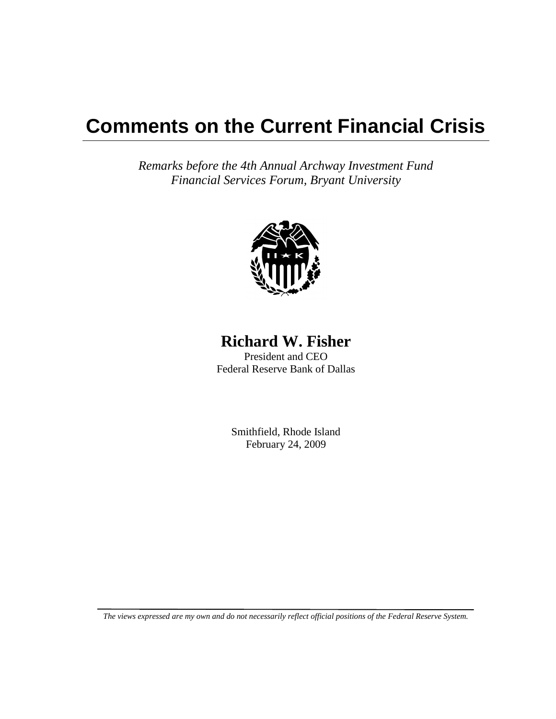## **Comments on the Current Financial Crisis**

*Remarks before the 4th Annual Archway Investment Fund Financial Services Forum, Bryant University*



## **Richard W. Fisher**

President and CEO Federal Reserve Bank of Dallas

> Smithfield, Rhode Island February 24, 2009

*The views expressed are my own and do not necessarily reflect official positions of the Federal Reserve System.*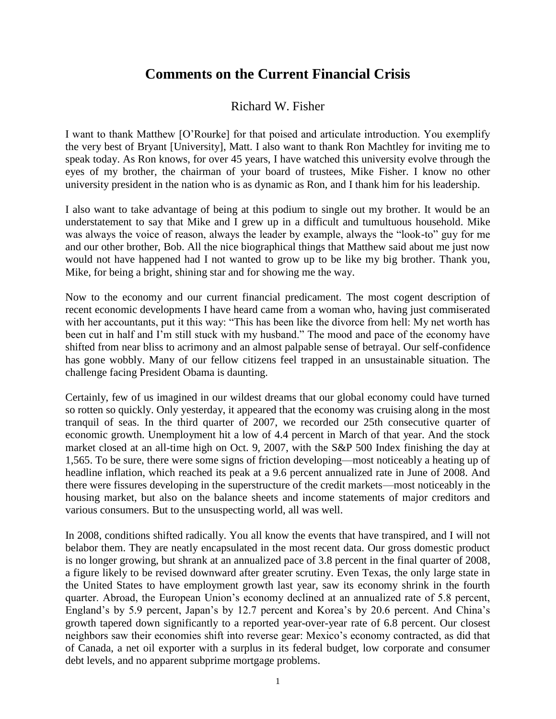## **Comments on the Current Financial Crisis**

## Richard W. Fisher

I want to thank Matthew [O'Rourke] for that poised and articulate introduction. You exemplify the very best of Bryant [University], Matt. I also want to thank Ron Machtley for inviting me to speak today. As Ron knows, for over 45 years, I have watched this university evolve through the eyes of my brother, the chairman of your board of trustees, Mike Fisher. I know no other university president in the nation who is as dynamic as Ron, and I thank him for his leadership.

I also want to take advantage of being at this podium to single out my brother. It would be an understatement to say that Mike and I grew up in a difficult and tumultuous household. Mike was always the voice of reason, always the leader by example, always the "look-to" guy for me and our other brother, Bob. All the nice biographical things that Matthew said about me just now would not have happened had I not wanted to grow up to be like my big brother. Thank you, Mike, for being a bright, shining star and for showing me the way.

Now to the economy and our current financial predicament. The most cogent description of recent economic developments I have heard came from a woman who, having just commiserated with her accountants, put it this way: "This has been like the divorce from hell: My net worth has been cut in half and I'm still stuck with my husband." The mood and pace of the economy have shifted from near bliss to acrimony and an almost palpable sense of betrayal. Our self-confidence has gone wobbly. Many of our fellow citizens feel trapped in an unsustainable situation. The challenge facing President Obama is daunting.

Certainly, few of us imagined in our wildest dreams that our global economy could have turned so rotten so quickly. Only yesterday, it appeared that the economy was cruising along in the most tranquil of seas. In the third quarter of 2007, we recorded our 25th consecutive quarter of economic growth. Unemployment hit a low of 4.4 percent in March of that year. And the stock market closed at an all-time high on Oct. 9, 2007, with the S&P 500 Index finishing the day at 1,565. To be sure, there were some signs of friction developing—most noticeably a heating up of headline inflation, which reached its peak at a 9.6 percent annualized rate in June of 2008. And there were fissures developing in the superstructure of the credit markets—most noticeably in the housing market, but also on the balance sheets and income statements of major creditors and various consumers. But to the unsuspecting world, all was well.

In 2008, conditions shifted radically. You all know the events that have transpired, and I will not belabor them. They are neatly encapsulated in the most recent data. Our gross domestic product is no longer growing, but shrank at an annualized pace of 3.8 percent in the final quarter of 2008, a figure likely to be revised downward after greater scrutiny. Even Texas, the only large state in the United States to have employment growth last year, saw its economy shrink in the fourth quarter. Abroad, the European Union's economy declined at an annualized rate of 5.8 percent, England's by 5.9 percent, Japan's by 12.7 percent and Korea's by 20.6 percent. And China's growth tapered down significantly to a reported year-over-year rate of 6.8 percent. Our closest neighbors saw their economies shift into reverse gear: Mexico's economy contracted, as did that of Canada, a net oil exporter with a surplus in its federal budget, low corporate and consumer debt levels, and no apparent subprime mortgage problems.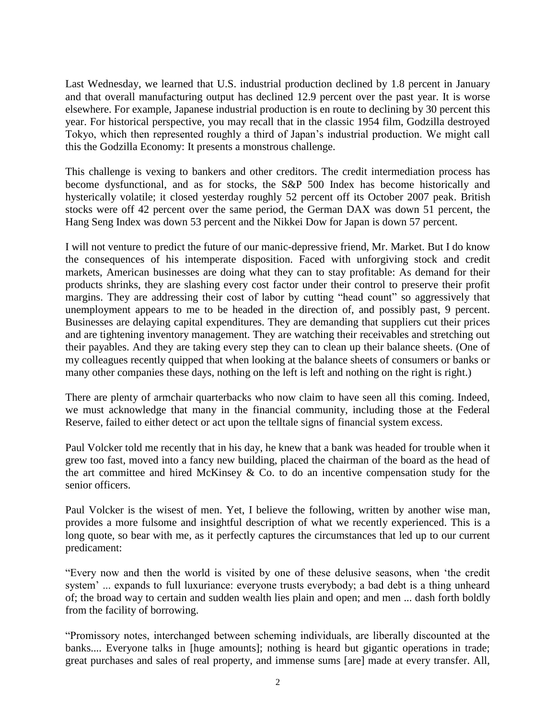Last Wednesday, we learned that U.S. industrial production declined by 1.8 percent in January and that overall manufacturing output has declined 12.9 percent over the past year. It is worse elsewhere. For example, Japanese industrial production is en route to declining by 30 percent this year. For historical perspective, you may recall that in the classic 1954 film, Godzilla destroyed Tokyo, which then represented roughly a third of Japan's industrial production. We might call this the Godzilla Economy: It presents a monstrous challenge.

This challenge is vexing to bankers and other creditors. The credit intermediation process has become dysfunctional, and as for stocks, the S&P 500 Index has become historically and hysterically volatile; it closed yesterday roughly 52 percent off its October 2007 peak. British stocks were off 42 percent over the same period, the German DAX was down 51 percent, the Hang Seng Index was down 53 percent and the Nikkei Dow for Japan is down 57 percent.

I will not venture to predict the future of our manic-depressive friend, Mr. Market. But I do know the consequences of his intemperate disposition. Faced with unforgiving stock and credit markets, American businesses are doing what they can to stay profitable: As demand for their products shrinks, they are slashing every cost factor under their control to preserve their profit margins. They are addressing their cost of labor by cutting "head count" so aggressively that unemployment appears to me to be headed in the direction of, and possibly past, 9 percent. Businesses are delaying capital expenditures. They are demanding that suppliers cut their prices and are tightening inventory management. They are watching their receivables and stretching out their payables. And they are taking every step they can to clean up their balance sheets. (One of my colleagues recently quipped that when looking at the balance sheets of consumers or banks or many other companies these days, nothing on the left is left and nothing on the right is right.)

There are plenty of armchair quarterbacks who now claim to have seen all this coming. Indeed, we must acknowledge that many in the financial community, including those at the Federal Reserve, failed to either detect or act upon the telltale signs of financial system excess.

Paul Volcker told me recently that in his day, he knew that a bank was headed for trouble when it grew too fast, moved into a fancy new building, placed the chairman of the board as the head of the art committee and hired McKinsey  $\&$  Co. to do an incentive compensation study for the senior officers.

Paul Volcker is the wisest of men. Yet, I believe the following, written by another wise man, provides a more fulsome and insightful description of what we recently experienced. This is a long quote, so bear with me, as it perfectly captures the circumstances that led up to our current predicament:

―Every now and then the world is visited by one of these delusive seasons, when ‗the credit system' ... expands to full luxuriance: everyone trusts everybody; a bad debt is a thing unheard of; the broad way to certain and sudden wealth lies plain and open; and men ... dash forth boldly from the facility of borrowing.

―Promissory notes, interchanged between scheming individuals, are liberally discounted at the banks.... Everyone talks in [huge amounts]; nothing is heard but gigantic operations in trade; great purchases and sales of real property, and immense sums [are] made at every transfer. All,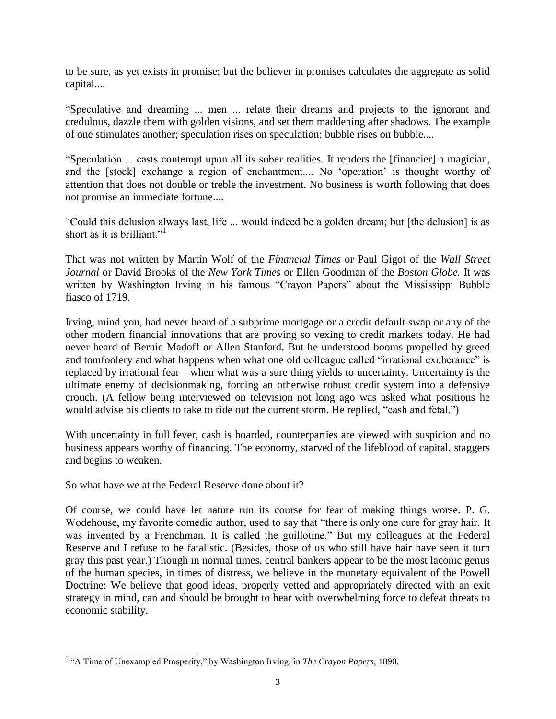to be sure, as yet exists in promise; but the believer in promises calculates the aggregate as solid capital....

―Speculative and dreaming ... men ... relate their dreams and projects to the ignorant and credulous, dazzle them with golden visions, and set them maddening after shadows. The example of one stimulates another; speculation rises on speculation; bubble rises on bubble....

―Speculation ... casts contempt upon all its sober realities. It renders the [financier] a magician, and the [stock] exchange a region of enchantment.... No 'operation' is thought worthy of attention that does not double or treble the investment. No business is worth following that does not promise an immediate fortune....

―Could this delusion always last, life ... would indeed be a golden dream; but [the delusion] is as short as it is brilliant."<sup>1</sup>

That was not written by Martin Wolf of the *Financial Times* or Paul Gigot of the *Wall Street Journal* or David Brooks of the *New York Times* or Ellen Goodman of the *Boston Globe.* It was written by Washington Irving in his famous "Crayon Papers" about the Mississippi Bubble fiasco of 1719.

Irving, mind you, had never heard of a subprime mortgage or a credit default swap or any of the other modern financial innovations that are proving so vexing to credit markets today. He had never heard of Bernie Madoff or Allen Stanford. But he understood booms propelled by greed and tomfoolery and what happens when what one old colleague called "irrational exuberance" is replaced by irrational fear—when what was a sure thing yields to uncertainty. Uncertainty is the ultimate enemy of decisionmaking, forcing an otherwise robust credit system into a defensive crouch. (A fellow being interviewed on television not long ago was asked what positions he would advise his clients to take to ride out the current storm. He replied, "cash and fetal.")

With uncertainty in full fever, cash is hoarded, counterparties are viewed with suspicion and no business appears worthy of financing. The economy, starved of the lifeblood of capital, staggers and begins to weaken.

So what have we at the Federal Reserve done about it?

 $\overline{a}$ 

Of course, we could have let nature run its course for fear of making things worse. P. G. Wodehouse, my favorite comedic author, used to say that "there is only one cure for gray hair. It was invented by a Frenchman. It is called the guillotine." But my colleagues at the Federal Reserve and I refuse to be fatalistic. (Besides, those of us who still have hair have seen it turn gray this past year.) Though in normal times, central bankers appear to be the most laconic genus of the human species, in times of distress, we believe in the monetary equivalent of the Powell Doctrine: We believe that good ideas, properly vetted and appropriately directed with an exit strategy in mind, can and should be brought to bear with overwhelming force to defeat threats to economic stability.

<sup>&</sup>lt;sup>1</sup> "A Time of Unexampled Prosperity," by Washington Irving, in *The Crayon Papers*, 1890.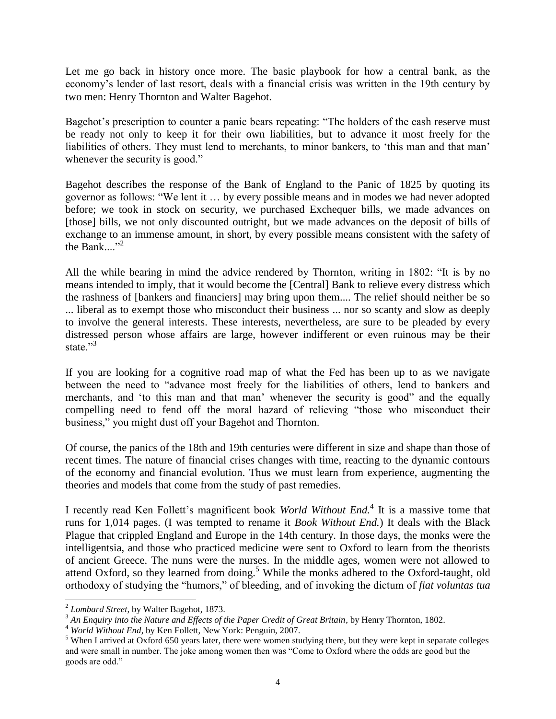Let me go back in history once more. The basic playbook for how a central bank, as the economy's lender of last resort, deals with a financial crisis was written in the 19th century by two men: Henry Thornton and Walter Bagehot.

Bagehot's prescription to counter a panic bears repeating: "The holders of the cash reserve must be ready not only to keep it for their own liabilities, but to advance it most freely for the liabilities of others. They must lend to merchants, to minor bankers, to 'this man and that man' whenever the security is good."

Bagehot describes the response of the Bank of England to the Panic of 1825 by quoting its governor as follows: "We lent it ... by every possible means and in modes we had never adopted before; we took in stock on security, we purchased Exchequer bills, we made advances on [those] bills, we not only discounted outright, but we made advances on the deposit of bills of exchange to an immense amount, in short, by every possible means consistent with the safety of the Bank  $\frac{1}{2}$ 

All the while bearing in mind the advice rendered by Thornton, writing in 1802: "It is by no means intended to imply, that it would become the [Central] Bank to relieve every distress which the rashness of [bankers and financiers] may bring upon them.... The relief should neither be so ... liberal as to exempt those who misconduct their business ... nor so scanty and slow as deeply to involve the general interests. These interests, nevertheless, are sure to be pleaded by every distressed person whose affairs are large, however indifferent or even ruinous may be their state<sup>"3</sup>

If you are looking for a cognitive road map of what the Fed has been up to as we navigate between the need to "advance most freely for the liabilities of others, lend to bankers and merchants, and 'to this man and that man' whenever the security is good" and the equally compelling need to fend off the moral hazard of relieving "those who misconduct their business," you might dust off your Bagehot and Thornton.

Of course, the panics of the 18th and 19th centuries were different in size and shape than those of recent times. The nature of financial crises changes with time, reacting to the dynamic contours of the economy and financial evolution. Thus we must learn from experience, augmenting the theories and models that come from the study of past remedies.

I recently read Ken Follett's magnificent book *World Without End.*<sup>4</sup> It is a massive tome that runs for 1,014 pages. (I was tempted to rename it *Book Without End.*) It deals with the Black Plague that crippled England and Europe in the 14th century. In those days, the monks were the intelligentsia, and those who practiced medicine were sent to Oxford to learn from the theorists of ancient Greece. The nuns were the nurses. In the middle ages, women were not allowed to attend Oxford, so they learned from doing.<sup>5</sup> While the monks adhered to the Oxford-taught, old orthodoxy of studying the "humors," of bleeding, and of invoking the dictum of *fiat voluntas tua* 

 $\overline{a}$ 

<sup>2</sup> *Lombard Street*, by Walter Bagehot, 1873.

<sup>&</sup>lt;sup>3</sup> An Enquiry into the Nature and Effects of the Paper Credit of Great Britain, by Henry Thornton, 1802.

<sup>4</sup> *World Without End*, by Ken Follett, New York: Penguin, 2007.

<sup>&</sup>lt;sup>5</sup> When I arrived at Oxford 650 years later, there were women studying there, but they were kept in separate colleges and were small in number. The joke among women then was "Come to Oxford where the odds are good but the goods are odd."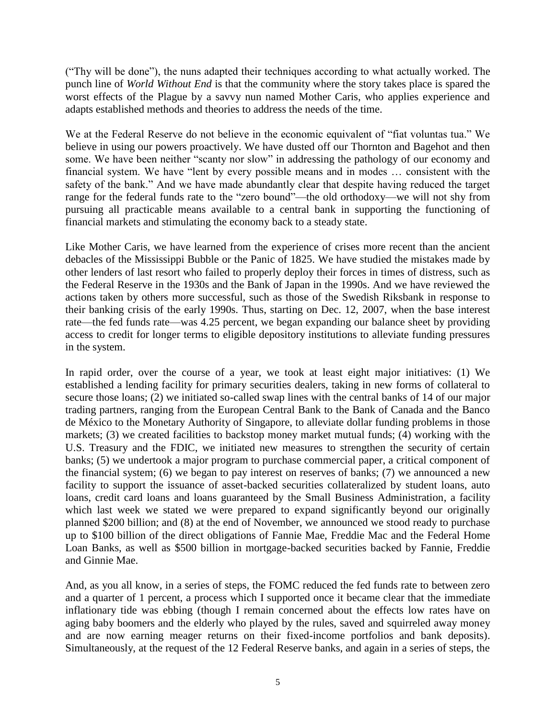(―Thy will be done‖), the nuns adapted their techniques according to what actually worked. The punch line of *World Without End* is that the community where the story takes place is spared the worst effects of the Plague by a savvy nun named Mother Caris, who applies experience and adapts established methods and theories to address the needs of the time.

We at the Federal Reserve do not believe in the economic equivalent of "fiat voluntas tua." We believe in using our powers proactively. We have dusted off our Thornton and Bagehot and then some. We have been neither "scanty nor slow" in addressing the pathology of our economy and financial system. We have "lent by every possible means and in modes ... consistent with the safety of the bank." And we have made abundantly clear that despite having reduced the target range for the federal funds rate to the "zero bound"—the old orthodoxy—we will not shy from pursuing all practicable means available to a central bank in supporting the functioning of financial markets and stimulating the economy back to a steady state.

Like Mother Caris, we have learned from the experience of crises more recent than the ancient debacles of the Mississippi Bubble or the Panic of 1825. We have studied the mistakes made by other lenders of last resort who failed to properly deploy their forces in times of distress, such as the Federal Reserve in the 1930s and the Bank of Japan in the 1990s. And we have reviewed the actions taken by others more successful, such as those of the Swedish Riksbank in response to their banking crisis of the early 1990s. Thus, starting on Dec. 12, 2007, when the base interest rate—the fed funds rate—was 4.25 percent, we began expanding our balance sheet by providing access to credit for longer terms to eligible depository institutions to alleviate funding pressures in the system.

In rapid order, over the course of a year, we took at least eight major initiatives: (1) We established a lending facility for primary securities dealers, taking in new forms of collateral to secure those loans; (2) we initiated so-called swap lines with the central banks of 14 of our major trading partners, ranging from the European Central Bank to the Bank of Canada and the Banco de México to the Monetary Authority of Singapore, to alleviate dollar funding problems in those markets; (3) we created facilities to backstop money market mutual funds; (4) working with the U.S. Treasury and the FDIC, we initiated new measures to strengthen the security of certain banks; (5) we undertook a major program to purchase commercial paper, a critical component of the financial system; (6) we began to pay interest on reserves of banks; (7) we announced a new facility to support the issuance of asset-backed securities collateralized by student loans, auto loans, credit card loans and loans guaranteed by the Small Business Administration, a facility which last week we stated we were prepared to expand significantly beyond our originally planned \$200 billion; and (8) at the end of November, we announced we stood ready to purchase up to \$100 billion of the direct obligations of Fannie Mae, Freddie Mac and the Federal Home Loan Banks, as well as \$500 billion in mortgage-backed securities backed by Fannie, Freddie and Ginnie Mae.

And, as you all know, in a series of steps, the FOMC reduced the fed funds rate to between zero and a quarter of 1 percent, a process which I supported once it became clear that the immediate inflationary tide was ebbing (though I remain concerned about the effects low rates have on aging baby boomers and the elderly who played by the rules, saved and squirreled away money and are now earning meager returns on their fixed-income portfolios and bank deposits). Simultaneously, at the request of the 12 Federal Reserve banks, and again in a series of steps, the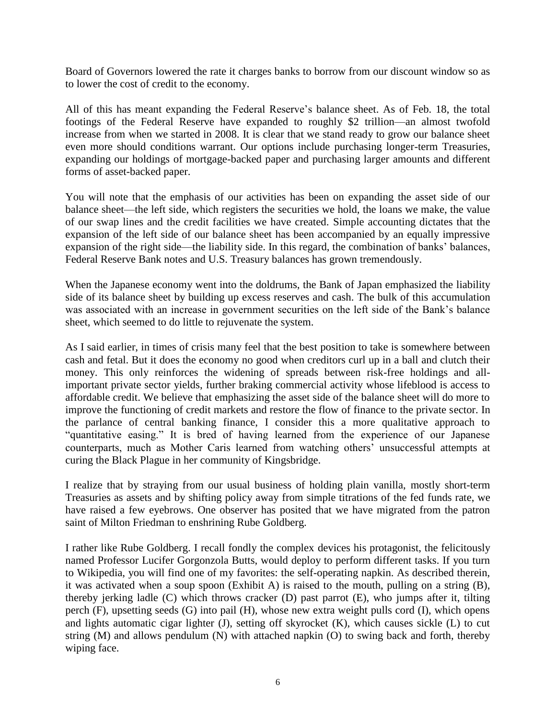Board of Governors lowered the rate it charges banks to borrow from our discount window so as to lower the cost of credit to the economy.

All of this has meant expanding the Federal Reserve's balance sheet. As of Feb. 18, the total footings of the Federal Reserve have expanded to roughly \$2 trillion—an almost twofold increase from when we started in 2008. It is clear that we stand ready to grow our balance sheet even more should conditions warrant. Our options include purchasing longer-term Treasuries, expanding our holdings of mortgage-backed paper and purchasing larger amounts and different forms of asset-backed paper.

You will note that the emphasis of our activities has been on expanding the asset side of our balance sheet—the left side, which registers the securities we hold, the loans we make, the value of our swap lines and the credit facilities we have created. Simple accounting dictates that the expansion of the left side of our balance sheet has been accompanied by an equally impressive expansion of the right side—the liability side. In this regard, the combination of banks' balances, Federal Reserve Bank notes and U.S. Treasury balances has grown tremendously.

When the Japanese economy went into the doldrums, the Bank of Japan emphasized the liability side of its balance sheet by building up excess reserves and cash. The bulk of this accumulation was associated with an increase in government securities on the left side of the Bank's balance sheet, which seemed to do little to rejuvenate the system.

As I said earlier, in times of crisis many feel that the best position to take is somewhere between cash and fetal. But it does the economy no good when creditors curl up in a ball and clutch their money. This only reinforces the widening of spreads between risk-free holdings and allimportant private sector yields, further braking commercial activity whose lifeblood is access to affordable credit. We believe that emphasizing the asset side of the balance sheet will do more to improve the functioning of credit markets and restore the flow of finance to the private sector. In the parlance of central banking finance, I consider this a more qualitative approach to "quantitative easing." It is bred of having learned from the experience of our Japanese counterparts, much as Mother Caris learned from watching others' unsuccessful attempts at curing the Black Plague in her community of Kingsbridge.

I realize that by straying from our usual business of holding plain vanilla, mostly short-term Treasuries as assets and by shifting policy away from simple titrations of the fed funds rate, we have raised a few eyebrows. One observer has posited that we have migrated from the patron saint of Milton Friedman to enshrining Rube Goldberg.

I rather like Rube Goldberg. I recall fondly the complex devices his protagonist, the felicitously named Professor Lucifer Gorgonzola Butts, would deploy to perform different tasks. If you turn to Wikipedia, you will find one of my favorites: the self-operating napkin. As described therein, it was activated when a soup spoon (Exhibit A) is raised to the mouth, pulling on a string (B), thereby jerking ladle (C) which throws cracker (D) past parrot (E), who jumps after it, tilting perch (F), upsetting seeds (G) into pail (H), whose new extra weight pulls cord (I), which opens and lights automatic cigar lighter (J), setting off skyrocket (K), which causes sickle (L) to cut string (M) and allows pendulum (N) with attached napkin (O) to swing back and forth, thereby wiping face.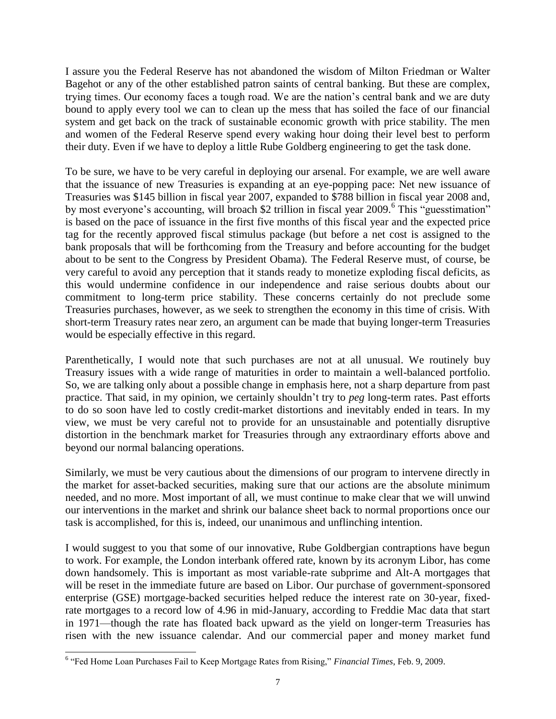I assure you the Federal Reserve has not abandoned the wisdom of Milton Friedman or Walter Bagehot or any of the other established patron saints of central banking. But these are complex, trying times. Our economy faces a tough road. We are the nation's central bank and we are duty bound to apply every tool we can to clean up the mess that has soiled the face of our financial system and get back on the track of sustainable economic growth with price stability. The men and women of the Federal Reserve spend every waking hour doing their level best to perform their duty. Even if we have to deploy a little Rube Goldberg engineering to get the task done.

To be sure, we have to be very careful in deploying our arsenal. For example, we are well aware that the issuance of new Treasuries is expanding at an eye-popping pace: Net new issuance of Treasuries was \$145 billion in fiscal year 2007, expanded to \$788 billion in fiscal year 2008 and, by most everyone's accounting, will broach \$2 trillion in fiscal year 2009.<sup>6</sup> This "guesstimation" is based on the pace of issuance in the first five months of this fiscal year and the expected price tag for the recently approved fiscal stimulus package (but before a net cost is assigned to the bank proposals that will be forthcoming from the Treasury and before accounting for the budget about to be sent to the Congress by President Obama). The Federal Reserve must, of course, be very careful to avoid any perception that it stands ready to monetize exploding fiscal deficits, as this would undermine confidence in our independence and raise serious doubts about our commitment to long-term price stability. These concerns certainly do not preclude some Treasuries purchases, however, as we seek to strengthen the economy in this time of crisis. With short-term Treasury rates near zero, an argument can be made that buying longer-term Treasuries would be especially effective in this regard.

Parenthetically, I would note that such purchases are not at all unusual. We routinely buy Treasury issues with a wide range of maturities in order to maintain a well-balanced portfolio. So, we are talking only about a possible change in emphasis here, not a sharp departure from past practice. That said, in my opinion, we certainly shouldn't try to *peg* long-term rates. Past efforts to do so soon have led to costly credit-market distortions and inevitably ended in tears. In my view, we must be very careful not to provide for an unsustainable and potentially disruptive distortion in the benchmark market for Treasuries through any extraordinary efforts above and beyond our normal balancing operations.

Similarly, we must be very cautious about the dimensions of our program to intervene directly in the market for asset-backed securities, making sure that our actions are the absolute minimum needed, and no more. Most important of all, we must continue to make clear that we will unwind our interventions in the market and shrink our balance sheet back to normal proportions once our task is accomplished, for this is, indeed, our unanimous and unflinching intention.

I would suggest to you that some of our innovative, Rube Goldbergian contraptions have begun to work. For example, the London interbank offered rate, known by its acronym Libor, has come down handsomely. This is important as most variable-rate subprime and Alt-A mortgages that will be reset in the immediate future are based on Libor. Our purchase of government-sponsored enterprise (GSE) mortgage-backed securities helped reduce the interest rate on 30-year, fixedrate mortgages to a record low of 4.96 in mid-January, according to Freddie Mac data that start in 1971—though the rate has floated back upward as the yield on longer-term Treasuries has risen with the new issuance calendar. And our commercial paper and money market fund

 $\overline{\phantom{a}}$ 

<sup>&</sup>lt;sup>6</sup> "Fed Home Loan Purchases Fail to Keep Mortgage Rates from Rising," *Financial Times*, Feb. 9, 2009.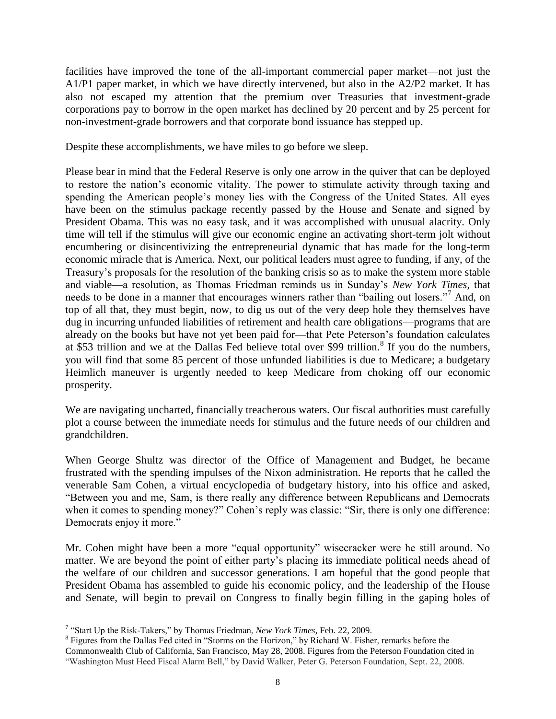facilities have improved the tone of the all-important commercial paper market—not just the A1/P1 paper market, in which we have directly intervened, but also in the A2/P2 market. It has also not escaped my attention that the premium over Treasuries that investment-grade corporations pay to borrow in the open market has declined by 20 percent and by 25 percent for non-investment-grade borrowers and that corporate bond issuance has stepped up.

Despite these accomplishments, we have miles to go before we sleep.

Please bear in mind that the Federal Reserve is only one arrow in the quiver that can be deployed to restore the nation's economic vitality. The power to stimulate activity through taxing and spending the American people's money lies with the Congress of the United States. All eyes have been on the stimulus package recently passed by the House and Senate and signed by President Obama. This was no easy task, and it was accomplished with unusual alacrity. Only time will tell if the stimulus will give our economic engine an activating short-term jolt without encumbering or disincentivizing the entrepreneurial dynamic that has made for the long-term economic miracle that is America. Next, our political leaders must agree to funding, if any, of the Treasury's proposals for the resolution of the banking crisis so as to make the system more stable and viable—a resolution, as Thomas Friedman reminds us in Sunday's *New York Times*, that needs to be done in a manner that encourages winners rather than "bailing out losers."<sup>7</sup> And, on top of all that, they must begin, now, to dig us out of the very deep hole they themselves have dug in incurring unfunded liabilities of retirement and health care obligations—programs that are already on the books but have not yet been paid for—that Pete Peterson's foundation calculates at \$53 trillion and we at the Dallas Fed believe total over \$99 trillion.<sup>8</sup> If you do the numbers, you will find that some 85 percent of those unfunded liabilities is due to Medicare; a budgetary Heimlich maneuver is urgently needed to keep Medicare from choking off our economic prosperity.

We are navigating uncharted, financially treacherous waters. Our fiscal authorities must carefully plot a course between the immediate needs for stimulus and the future needs of our children and grandchildren.

When George Shultz was director of the Office of Management and Budget, he became frustrated with the spending impulses of the Nixon administration. He reports that he called the venerable Sam Cohen, a virtual encyclopedia of budgetary history, into his office and asked, ―Between you and me, Sam, is there really any difference between Republicans and Democrats when it comes to spending money?" Cohen's reply was classic: "Sir, there is only one difference: Democrats enjoy it more."

Mr. Cohen might have been a more "equal opportunity" wisecracker were he still around. No matter. We are beyond the point of either party's placing its immediate political needs ahead of the welfare of our children and successor generations. I am hopeful that the good people that President Obama has assembled to guide his economic policy, and the leadership of the House and Senate, will begin to prevail on Congress to finally begin filling in the gaping holes of

 $\overline{a}$ <sup>7</sup> "Start Up the Risk-Takers," by Thomas Friedman, *New York Times*, Feb. 22, 2009.

<sup>&</sup>lt;sup>8</sup> Figures from the Dallas Fed cited in "Storms on the Horizon," by Richard W. Fisher, remarks before the Commonwealth Club of California, San Francisco, May 28, 2008. Figures from the Peterson Foundation cited in ―Washington Must Heed Fiscal Alarm Bell,‖ by David Walker, Peter G. Peterson Foundation, Sept. 22, 2008.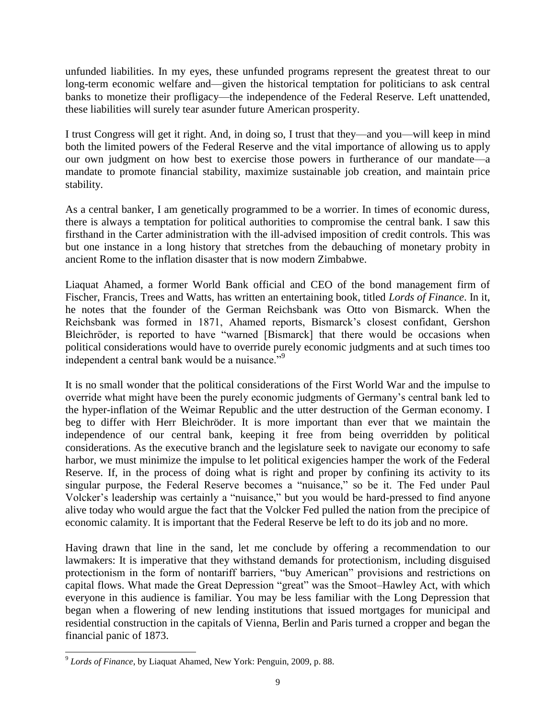unfunded liabilities. In my eyes, these unfunded programs represent the greatest threat to our long-term economic welfare and—given the historical temptation for politicians to ask central banks to monetize their profligacy—the independence of the Federal Reserve. Left unattended, these liabilities will surely tear asunder future American prosperity.

I trust Congress will get it right. And, in doing so, I trust that they—and you—will keep in mind both the limited powers of the Federal Reserve and the vital importance of allowing us to apply our own judgment on how best to exercise those powers in furtherance of our mandate—a mandate to promote financial stability, maximize sustainable job creation, and maintain price stability.

As a central banker, I am genetically programmed to be a worrier. In times of economic duress, there is always a temptation for political authorities to compromise the central bank. I saw this firsthand in the Carter administration with the ill-advised imposition of credit controls. This was but one instance in a long history that stretches from the debauching of monetary probity in ancient Rome to the inflation disaster that is now modern Zimbabwe.

Liaquat Ahamed, a former World Bank official and CEO of the bond management firm of Fischer, Francis, Trees and Watts, has written an entertaining book, titled *Lords of Finance*. In it, he notes that the founder of the German Reichsbank was Otto von Bismarck. When the Reichsbank was formed in 1871, Ahamed reports, Bismarck's closest confidant, Gershon Bleichröder, is reported to have "warned [Bismarck] that there would be occasions when political considerations would have to override purely economic judgments and at such times too independent a central bank would be a nuisance."<sup>9</sup>

It is no small wonder that the political considerations of the First World War and the impulse to override what might have been the purely economic judgments of Germany's central bank led to the hyper-inflation of the Weimar Republic and the utter destruction of the German economy. I beg to differ with Herr Bleichröder. It is more important than ever that we maintain the independence of our central bank, keeping it free from being overridden by political considerations. As the executive branch and the legislature seek to navigate our economy to safe harbor, we must minimize the impulse to let political exigencies hamper the work of the Federal Reserve. If, in the process of doing what is right and proper by confining its activity to its singular purpose, the Federal Reserve becomes a "nuisance," so be it. The Fed under Paul Volcker's leadership was certainly a "nuisance," but you would be hard-pressed to find anyone alive today who would argue the fact that the Volcker Fed pulled the nation from the precipice of economic calamity. It is important that the Federal Reserve be left to do its job and no more.

Having drawn that line in the sand, let me conclude by offering a recommendation to our lawmakers: It is imperative that they withstand demands for protectionism, including disguised protectionism in the form of nontariff barriers, "buy American" provisions and restrictions on capital flows. What made the Great Depression "great" was the Smoot–Hawley Act, with which everyone in this audience is familiar. You may be less familiar with the Long Depression that began when a flowering of new lending institutions that issued mortgages for municipal and residential construction in the capitals of Vienna, Berlin and Paris turned a cropper and began the financial panic of 1873.

 $\overline{\phantom{a}}$ 9 *Lords of Finance*, by Liaquat Ahamed, New York: Penguin, 2009, p. 88.